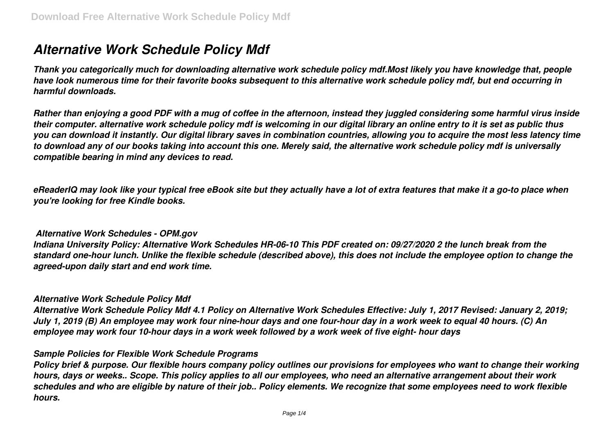# *Alternative Work Schedule Policy Mdf*

*Thank you categorically much for downloading alternative work schedule policy mdf.Most likely you have knowledge that, people have look numerous time for their favorite books subsequent to this alternative work schedule policy mdf, but end occurring in harmful downloads.*

*Rather than enjoying a good PDF with a mug of coffee in the afternoon, instead they juggled considering some harmful virus inside their computer. alternative work schedule policy mdf is welcoming in our digital library an online entry to it is set as public thus you can download it instantly. Our digital library saves in combination countries, allowing you to acquire the most less latency time to download any of our books taking into account this one. Merely said, the alternative work schedule policy mdf is universally compatible bearing in mind any devices to read.*

*eReaderIQ may look like your typical free eBook site but they actually have a lot of extra features that make it a go-to place when you're looking for free Kindle books.*

## *Alternative Work Schedules - OPM.gov*

*Indiana University Policy: Alternative Work Schedules HR-06-10 This PDF created on: 09/27/2020 2 the lunch break from the standard one-hour lunch. Unlike the flexible schedule (described above), this does not include the employee option to change the agreed-upon daily start and end work time.*

#### *Alternative Work Schedule Policy Mdf*

*Alternative Work Schedule Policy Mdf 4.1 Policy on Alternative Work Schedules Effective: July 1, 2017 Revised: January 2, 2019; July 1, 2019 (B) An employee may work four nine-hour days and one four-hour day in a work week to equal 40 hours. (C) An employee may work four 10-hour days in a work week followed by a work week of five eight- hour days*

## *Sample Policies for Flexible Work Schedule Programs*

*Policy brief & purpose. Our flexible hours company policy outlines our provisions for employees who want to change their working hours, days or weeks.. Scope. This policy applies to all our employees, who need an alternative arrangement about their work schedules and who are eligible by nature of their job.. Policy elements. We recognize that some employees need to work flexible hours.*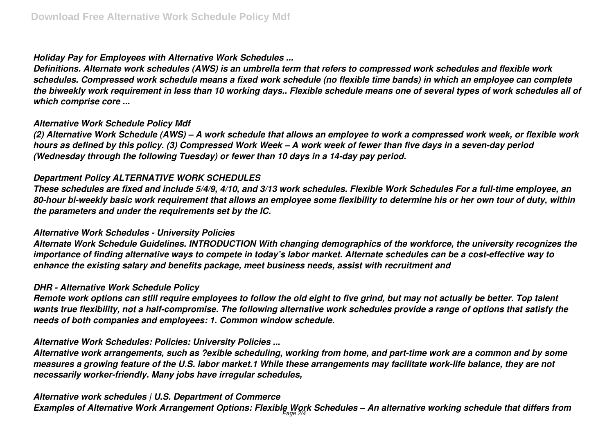# *Holiday Pay for Employees with Alternative Work Schedules ...*

*Definitions. Alternate work schedules (AWS) is an umbrella term that refers to compressed work schedules and flexible work schedules. Compressed work schedule means a fixed work schedule (no flexible time bands) in which an employee can complete the biweekly work requirement in less than 10 working days.. Flexible schedule means one of several types of work schedules all of which comprise core ...*

# *Alternative Work Schedule Policy Mdf*

*(2) Alternative Work Schedule (AWS) – A work schedule that allows an employee to work a compressed work week, or flexible work hours as defined by this policy. (3) Compressed Work Week – A work week of fewer than five days in a seven-day period (Wednesday through the following Tuesday) or fewer than 10 days in a 14-day pay period.*

# *Department Policy ALTERNATIVE WORK SCHEDULES*

*These schedules are fixed and include 5/4/9, 4/10, and 3/13 work schedules. Flexible Work Schedules For a full-time employee, an 80-hour bi-weekly basic work requirement that allows an employee some flexibility to determine his or her own tour of duty, within the parameters and under the requirements set by the IC.*

# *Alternative Work Schedules - University Policies*

*Alternate Work Schedule Guidelines. INTRODUCTION With changing demographics of the workforce, the university recognizes the importance of finding alternative ways to compete in today's labor market. Alternate schedules can be a cost-effective way to enhance the existing salary and benefits package, meet business needs, assist with recruitment and*

## *DHR - Alternative Work Schedule Policy*

*Remote work options can still require employees to follow the old eight to five grind, but may not actually be better. Top talent wants true flexibility, not a half-compromise. The following alternative work schedules provide a range of options that satisfy the needs of both companies and employees: 1. Common window schedule.*

# *Alternative Work Schedules: Policies: University Policies ...*

*Alternative work arrangements, such as ?exible scheduling, working from home, and part-time work are a common and by some measures a growing feature of the U.S. labor market.1 While these arrangements may facilitate work-life balance, they are not necessarily worker-friendly. Many jobs have irregular schedules,*

# *Alternative work schedules | U.S. Department of Commerce*

*Examples of Alternative Work Arrangement Options: Flexible Work Schedules – An alternative working schedule that differs from* Page 2/4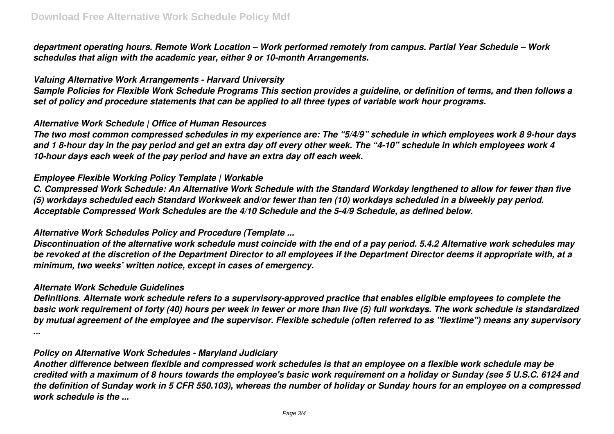*department operating hours. Remote Work Location – Work performed remotely from campus. Partial Year Schedule – Work schedules that align with the academic year, either 9 or 10-month Arrangements.*

#### *Valuing Alternative Work Arrangements - Harvard University*

*Sample Policies for Flexible Work Schedule Programs This section provides a guideline, or definition of terms, and then follows a set of policy and procedure statements that can be applied to all three types of variable work hour programs.*

## *Alternative Work Schedule | Office of Human Resources*

*The two most common compressed schedules in my experience are: The "5/4/9" schedule in which employees work 8 9-hour days and 1 8-hour day in the pay period and get an extra day off every other week. The "4-10" schedule in which employees work 4 10-hour days each week of the pay period and have an extra day off each week.*

## *Employee Flexible Working Policy Template | Workable*

*C. Compressed Work Schedule: An Alternative Work Schedule with the Standard Workday lengthened to allow for fewer than five (5) workdays scheduled each Standard Workweek and/or fewer than ten (10) workdays scheduled in a biweekly pay period. Acceptable Compressed Work Schedules are the 4/10 Schedule and the 5-4/9 Schedule, as defined below.*

## *Alternative Work Schedules Policy and Procedure (Template ...*

*Discontinuation of the alternative work schedule must coincide with the end of a pay period. 5.4.2 Alternative work schedules may be revoked at the discretion of the Department Director to all employees if the Department Director deems it appropriate with, at a minimum, two weeks' written notice, except in cases of emergency.*

#### *Alternate Work Schedule Guidelines*

*Definitions. Alternate work schedule refers to a supervisory-approved practice that enables eligible employees to complete the basic work requirement of forty (40) hours per week in fewer or more than five (5) full workdays. The work schedule is standardized by mutual agreement of the employee and the supervisor. Flexible schedule (often referred to as "flextime") means any supervisory ...*

#### *Policy on Alternative Work Schedules - Maryland Judiciary*

*Another difference between flexible and compressed work schedules is that an employee on a flexible work schedule may be credited with a maximum of 8 hours towards the employee's basic work requirement on a holiday or Sunday (see 5 U.S.C. 6124 and the definition of Sunday work in 5 CFR 550.103), whereas the number of holiday or Sunday hours for an employee on a compressed work schedule is the ...*